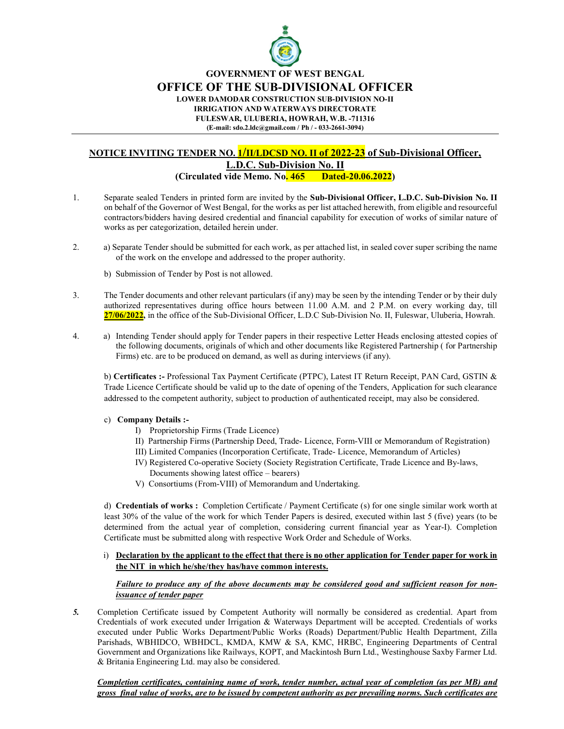

GOVERNMENT OF WEST BENGAL

OFFICE OF THE SUB-DIVISIONAL OFFICER

LOWER DAMODAR CONSTRUCTION SUB-DIVISION NO-II

IRRIGATION AND WATERWAYS DIRECTORATE

FULESWAR, ULUBERIA, HOWRAH, W.B. -711316 (E-mail: sdo.2.ldc@gmail.com / Ph / - 033-2661-3094)

## NOTICE INVITING TENDER NO. **1/II/LDCSD NO. II of 2022-23** of Sub-Divisional Officer, L.D.C. Sub-Division No. II (Circulated vide Memo. No. 465 Dated-20.06.2022)

- 1. Separate sealed Tenders in printed form are invited by the Sub-Divisional Officer, L.D.C. Sub-Division No. II on behalf of the Governor of West Bengal, for the works as per list attached herewith, from eligible and resourceful contractors/bidders having desired credential and financial capability for execution of works of similar nature of works as per categorization, detailed herein under.
- 2. a) Separate Tender should be submitted for each work, as per attached list, in sealed cover super scribing the name of the work on the envelope and addressed to the proper authority.
	- b) Submission of Tender by Post is not allowed.
- 3. The Tender documents and other relevant particulars (if any) may be seen by the intending Tender or by their duly authorized representatives during office hours between 11.00 A.M. and 2 P.M. on every working day, till 27/06/2022, in the office of the Sub-Divisional Officer, L.D.C Sub-Division No. II, Fuleswar, Uluberia, Howrah.
- 4. a) Intending Tender should apply for Tender papers in their respective Letter Heads enclosing attested copies of the following documents, originals of which and other documents like Registered Partnership ( for Partnership Firms) etc. are to be produced on demand, as well as during interviews (if any).

b) Certificates :- Professional Tax Payment Certificate (PTPC), Latest IT Return Receipt, PAN Card, GSTIN & Trade Licence Certificate should be valid up to the date of opening of the Tenders, Application for such clearance addressed to the competent authority, subject to production of authenticated receipt, may also be considered.

- c) Company Details :-
	- I) Proprietorship Firms (Trade Licence)
	- II) Partnership Firms (Partnership Deed, Trade- Licence, Form-VIII or Memorandum of Registration)
	- III) Limited Companies (Incorporation Certificate, Trade- Licence, Memorandum of Articles)
	- IV) Registered Co-operative Society (Society Registration Certificate, Trade Licence and By-laws, Documents showing latest office – bearers)
	- V) Consortiums (From-VIII) of Memorandum and Undertaking.

d) Credentials of works : Completion Certificate / Payment Certificate (s) for one single similar work worth at least 30% of the value of the work for which Tender Papers is desired, executed within last 5 (five) years (to be determined from the actual year of completion, considering current financial year as Year-I). Completion Certificate must be submitted along with respective Work Order and Schedule of Works.

i) Declaration by the applicant to the effect that there is no other application for Tender paper for work in the NIT in which he/she/they has/have common interests.

## Failure to produce any of the above documents may be considered good and sufficient reason for nonissuance of tender paper

5. Completion Certificate issued by Competent Authority will normally be considered as credential. Apart from Credentials of work executed under Irrigation & Waterways Department will be accepted. Credentials of works executed under Public Works Department/Public Works (Roads) Department/Public Health Department, Zilla Parishads, WBHIDCO, WBHDCL, KMDA, KMW & SA, KMC, HRBC, Engineering Departments of Central Government and Organizations like Railways, KOPT, and Mackintosh Burn Ltd., Westinghouse Saxby Farmer Ltd. & Britania Engineering Ltd. may also be considered.

Completion certificates, containing name of work, tender number, actual year of completion (as per MB) and gross final value of works, are to be issued by competent authority as per prevailing norms. Such certificates are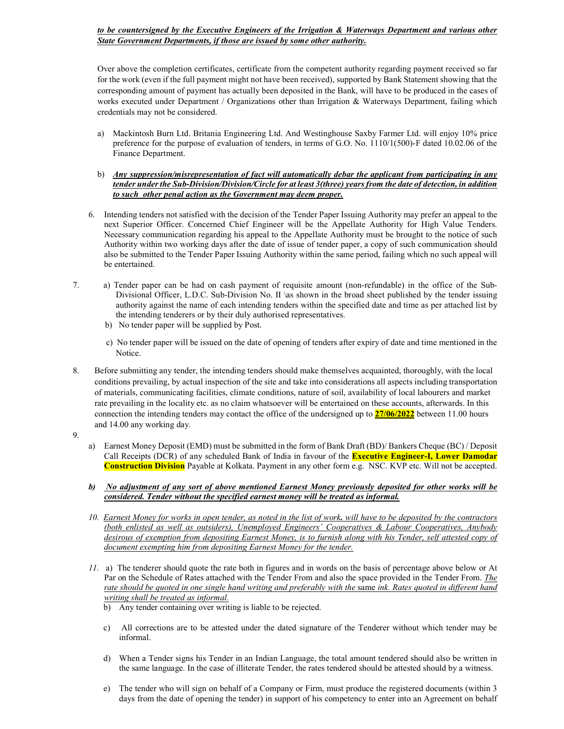## to be countersigned by the Executive Engineers of the Irrigation & Waterways Department and various other State Government Departments, if those are issued by some other authority.

Over above the completion certificates, certificate from the competent authority regarding payment received so far for the work (even if the full payment might not have been received), supported by Bank Statement showing that the corresponding amount of payment has actually been deposited in the Bank, will have to be produced in the cases of works executed under Department / Organizations other than Irrigation & Waterways Department, failing which credentials may not be considered.

- a) Mackintosh Burn Ltd. Britania Engineering Ltd. And Westinghouse Saxby Farmer Ltd. will enjoy 10% price preference for the purpose of evaluation of tenders, in terms of G.O. No. 1110/1(500)-F dated 10.02.06 of the Finance Department.
- b) Any suppression/misrepresentation of fact will automatically debar the applicant from participating in any tender under the Sub-Division/Division/Circle for at least 3(three) years from the date of detection, in addition to such other penal action as the Government may deem proper.
- 6. Intending tenders not satisfied with the decision of the Tender Paper Issuing Authority may prefer an appeal to the next Superior Officer. Concerned Chief Engineer will be the Appellate Authority for High Value Tenders. Necessary communication regarding his appeal to the Appellate Authority must be brought to the notice of such Authority within two working days after the date of issue of tender paper, a copy of such communication should also be submitted to the Tender Paper Issuing Authority within the same period, failing which no such appeal will be entertained.
- 7. a) Tender paper can be had on cash payment of requisite amount (non-refundable) in the office of the Sub-Divisional Officer, L.D.C. Sub-Division No. II \as shown in the broad sheet published by the tender issuing authority against the name of each intending tenders within the specified date and time as per attached list by the intending tenderers or by their duly authorised representatives.
	- b) No tender paper will be supplied by Post.
	- c) No tender paper will be issued on the date of opening of tenders after expiry of date and time mentioned in the Notice.
- 8. Before submitting any tender, the intending tenders should make themselves acquainted, thoroughly, with the local conditions prevailing, by actual inspection of the site and take into considerations all aspects including transportation of materials, communicating facilities, climate conditions, nature of soil, availability of local labourers and market rate prevailing in the locality etc. as no claim whatsoever will be entertained on these accounts, afterwards. In this connection the intending tenders may contact the office of the undersigned up to  $\frac{27}{06/2022}$  between 11.00 hours and 14.00 any working day.
- 9.
- a) Earnest Money Deposit (EMD) must be submitted in the form of Bank Draft (BD)/ Bankers Cheque (BC) / Deposit Call Receipts (DCR) of any scheduled Bank of India in favour of the **Executive Engineer-I, Lower Damodar** Construction Division Payable at Kolkata. Payment in any other form e.g. NSC. KVP etc. Will not be accepted.
- b) No adjustment of any sort of above mentioned Earnest Money previously deposited for other works will be considered. Tender without the specified earnest money will be treated as informal.
- 10. Earnest Money for works in open tender, as noted in the list of work, will have to be deposited by the contractors (both enlisted as well as outsiders), Unemployed Engineers' Cooperatives & Labour Cooperatives, Anybody desirous of exemption from depositing Earnest Money, is to furnish along with his Tender, self attested copy of document exempting him from depositing Earnest Money for the tender.
- 11. a) The tenderer should quote the rate both in figures and in words on the basis of percentage above below or At Par on the Schedule of Rates attached with the Tender From and also the space provided in the Tender From. The rate should be quoted in one single hand writing and preferably with the same ink. Rates quoted in different hand writing shall be treated as informal.
	- b) Any tender containing over writing is liable to be rejected.
	- c) All corrections are to be attested under the dated signature of the Tenderer without which tender may be informal.
	- d) When a Tender signs his Tender in an Indian Language, the total amount tendered should also be written in the same language. In the case of illiterate Tender, the rates tendered should be attested should by a witness.
	- e) The tender who will sign on behalf of a Company or Firm, must produce the registered documents (within 3 days from the date of opening the tender) in support of his competency to enter into an Agreement on behalf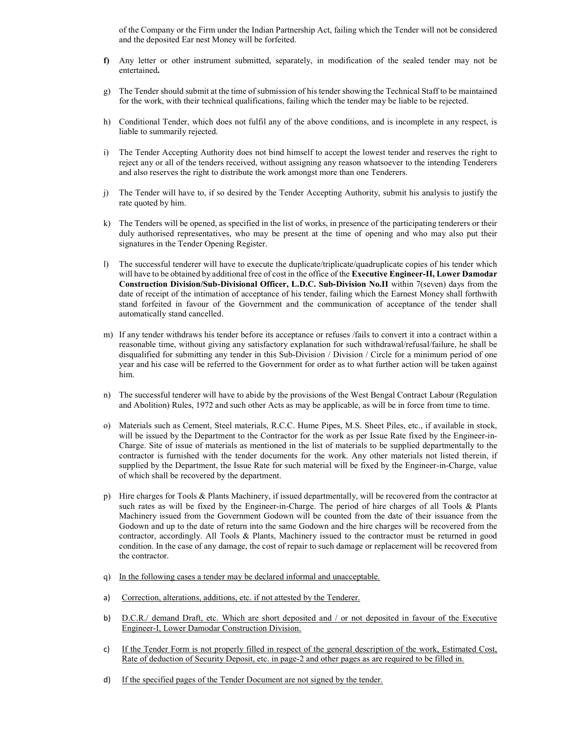of the Company or the Firm under the Indian Partnership Act, failing which the Tender will not be considered and the deposited Ear nest Money will be forfeited.

- f) Any letter or other instrument submitted, separately, in modification of the sealed tender may not be entertained.
- g) The Tender should submit at the time of submission of his tender showing the Technical Staff to be maintained for the work, with their technical qualifications, failing which the tender may be liable to be rejected.
- h) Conditional Tender, which does not fulfil any of the above conditions, and is incomplete in any respect, is liable to summarily rejected.
- i) The Tender Accepting Authority does not bind himself to accept the lowest tender and reserves the right to reject any or all of the tenders received, without assigning any reason whatsoever to the intending Tenderers and also reserves the right to distribute the work amongst more than one Tenderers.
- j) The Tender will have to, if so desired by the Tender Accepting Authority, submit his analysis to justify the rate quoted by him.
- k) The Tenders will be opened, as specified in the list of works, in presence of the participating tenderers or their duly authorised representatives, who may be present at the time of opening and who may also put their signatures in the Tender Opening Register.
- l) The successful tenderer will have to execute the duplicate/triplicate/quadruplicate copies of his tender which will have to be obtained by additional free of cost in the office of the Executive Engineer-II, Lower Damodar Construction Division/Sub-Divisional Officer, L.D.C. Sub-Division No.II within 7(seven) days from the date of receipt of the intimation of acceptance of his tender, failing which the Earnest Money shall forthwith stand forfeited in favour of the Government and the communication of acceptance of the tender shall automatically stand cancelled.
- m) If any tender withdraws his tender before its acceptance or refuses /fails to convert it into a contract within a reasonable time, without giving any satisfactory explanation for such withdrawal/refusal/failure, he shall be disqualified for submitting any tender in this Sub-Division / Division / Circle for a minimum period of one year and his case will be referred to the Government for order as to what further action will be taken against him.
- n) The successful tenderer will have to abide by the provisions of the West Bengal Contract Labour (Regulation and Abolition) Rules, 1972 and such other Acts as may be applicable, as will be in force from time to time.
- o) Materials such as Cement, Steel materials, R.C.C. Hume Pipes, M.S. Sheet Piles, etc., if available in stock, will be issued by the Department to the Contractor for the work as per Issue Rate fixed by the Engineer-in-Charge. Site of issue of materials as mentioned in the list of materials to be supplied departmentally to the contractor is furnished with the tender documents for the work. Any other materials not listed therein, if supplied by the Department, the Issue Rate for such material will be fixed by the Engineer-in-Charge, value of which shall be recovered by the department.
- p) Hire charges for Tools & Plants Machinery, if issued departmentally, will be recovered from the contractor at such rates as will be fixed by the Engineer-in-Charge. The period of hire charges of all Tools & Plants Machinery issued from the Government Godown will be counted from the date of their issuance from the Godown and up to the date of return into the same Godown and the hire charges will be recovered from the contractor, accordingly. All Tools & Plants, Machinery issued to the contractor must be returned in good condition. In the case of any damage, the cost of repair to such damage or replacement will be recovered from the contractor.
- q) In the following cases a tender may be declared informal and unacceptable.
- a) Correction, alterations, additions, etc. if not attested by the Tenderer.
- b) D.C.R./ demand Draft, etc. Which are short deposited and / or not deposited in favour of the Executive Engineer-I, Lower Damodar Construction Division.
- c) If the Tender Form is not properly filled in respect of the general description of the work, Estimated Cost, Rate of deduction of Security Deposit, etc. in page-2 and other pages as are required to be filled in.
- d) If the specified pages of the Tender Document are not signed by the tender.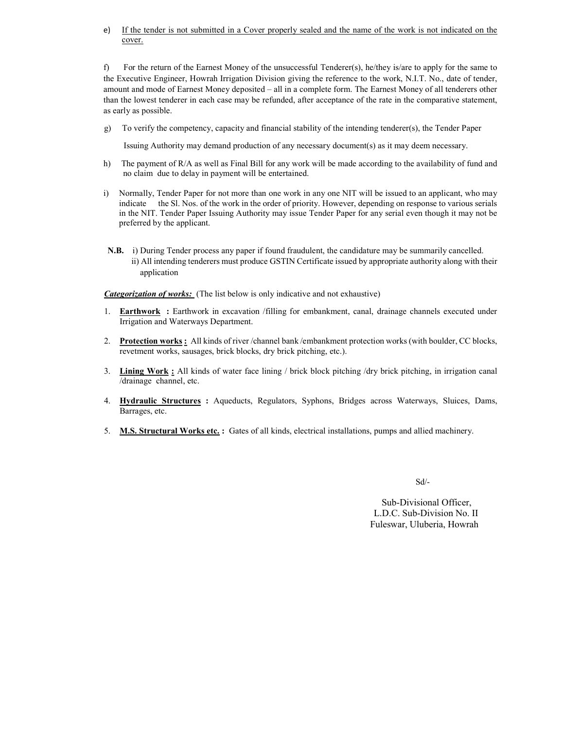e) If the tender is not submitted in a Cover properly sealed and the name of the work is not indicated on the cover.

f) For the return of the Earnest Money of the unsuccessful Tenderer(s), he/they is/are to apply for the same to the Executive Engineer, Howrah Irrigation Division giving the reference to the work, N.I.T. No., date of tender, amount and mode of Earnest Money deposited – all in a complete form. The Earnest Money of all tenderers other than the lowest tenderer in each case may be refunded, after acceptance of the rate in the comparative statement, as early as possible.

g) To verify the competency, capacity and financial stability of the intending tenderer(s), the Tender Paper

Issuing Authority may demand production of any necessary document(s) as it may deem necessary.

- h) The payment of R/A as well as Final Bill for any work will be made according to the availability of fund and no claim due to delay in payment will be entertained.
- i) Normally, Tender Paper for not more than one work in any one NIT will be issued to an applicant, who may indicate the Sl. Nos. of the work in the order of priority. However, depending on response to various serials in the NIT. Tender Paper Issuing Authority may issue Tender Paper for any serial even though it may not be preferred by the applicant.
- N.B. i) During Tender process any paper if found fraudulent, the candidature may be summarily cancelled. ii) All intending tenderers must produce GSTIN Certificate issued by appropriate authority along with their application

**Categorization of works:** (The list below is only indicative and not exhaustive)

- 1. Earthwork : Earthwork in excavation /filling for embankment, canal, drainage channels executed under Irrigation and Waterways Department.
- 2. Protection works : All kinds of river /channel bank /embankment protection works (with boulder, CC blocks, revetment works, sausages, brick blocks, dry brick pitching, etc.).
- 3. Lining Work : All kinds of water face lining / brick block pitching /dry brick pitching, in irrigation canal /drainage channel, etc.
- 4. Hydraulic Structures : Aqueducts, Regulators, Syphons, Bridges across Waterways, Sluices, Dams, Barrages, etc.
- 5. M.S. Structural Works etc. : Gates of all kinds, electrical installations, pumps and allied machinery.

Sd/-

 Sub-Divisional Officer, L.D.C. Sub-Division No. II Fuleswar, Uluberia, Howrah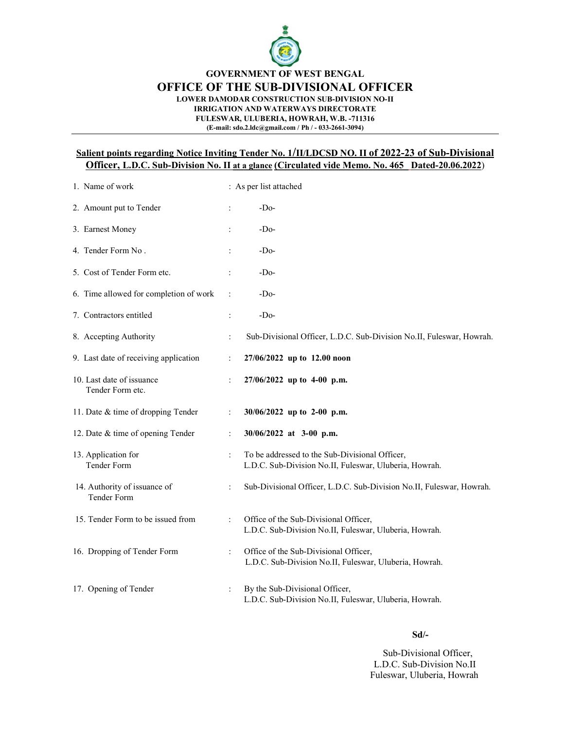

GOVERNMENT OF WEST BENGAL

OFFICE OF THE SUB-DIVISIONAL OFFICER

LOWER DAMODAR CONSTRUCTION SUB-DIVISION NO-II

IRRIGATION AND WATERWAYS DIRECTORATE

FULESWAR, ULUBERIA, HOWRAH, W.B. -711316 (E-mail: sdo.2.ldc@gmail.com / Ph / - 033-2661-3094)

## Salient points regarding Notice Inviting Tender No. 1/II/LDCSD NO. II of 2022-23 of Sub-Divisional Officer, L.D.C. Sub-Division No. II at a glance (Circulated vide Memo. No. 465 Dated-20.06.2022)

| 1. Name of work                               |                      | : As per list attached                                                                                   |  |  |  |  |
|-----------------------------------------------|----------------------|----------------------------------------------------------------------------------------------------------|--|--|--|--|
| 2. Amount put to Tender                       | $\ddot{\cdot}$       | $-Do-$                                                                                                   |  |  |  |  |
| 3. Earnest Money                              | $\ddot{\phantom{a}}$ | $-Do-$                                                                                                   |  |  |  |  |
| 4. Tender Form No.                            | $\ddot{\phantom{a}}$ | $-Do-$                                                                                                   |  |  |  |  |
| 5. Cost of Tender Form etc.                   | $\ddot{\cdot}$       | $-Do-$                                                                                                   |  |  |  |  |
| 6. Time allowed for completion of work        | $\ddot{\cdot}$       | -Do-                                                                                                     |  |  |  |  |
| 7. Contractors entitled                       |                      | $-Do-$                                                                                                   |  |  |  |  |
| 8. Accepting Authority                        | $\ddot{\cdot}$       | Sub-Divisional Officer, L.D.C. Sub-Division No.II, Fuleswar, Howrah.                                     |  |  |  |  |
| 9. Last date of receiving application         | $\ddot{\cdot}$       | 27/06/2022 up to 12.00 noon                                                                              |  |  |  |  |
| 10. Last date of issuance<br>Tender Form etc. | $\ddot{\cdot}$       | 27/06/2022 up to 4-00 p.m.                                                                               |  |  |  |  |
| 11. Date & time of dropping Tender            | $\ddot{\cdot}$       | 30/06/2022 up to 2-00 p.m.                                                                               |  |  |  |  |
| 12. Date & time of opening Tender             | $\ddot{\cdot}$       | 30/06/2022 at 3-00 p.m.                                                                                  |  |  |  |  |
| 13. Application for<br>Tender Form            | $\ddot{\cdot}$       | To be addressed to the Sub-Divisional Officer,<br>L.D.C. Sub-Division No.II, Fuleswar, Uluberia, Howrah. |  |  |  |  |
| 14. Authority of issuance of<br>Tender Form   | $\ddot{\cdot}$       | Sub-Divisional Officer, L.D.C. Sub-Division No.II, Fuleswar, Howrah.                                     |  |  |  |  |
| 15. Tender Form to be issued from             | $\ddot{\cdot}$       | Office of the Sub-Divisional Officer,<br>L.D.C. Sub-Division No.II, Fuleswar, Uluberia, Howrah.          |  |  |  |  |
| 16. Dropping of Tender Form                   | $\ddot{\phantom{a}}$ | Office of the Sub-Divisional Officer,<br>L.D.C. Sub-Division No.II, Fuleswar, Uluberia, Howrah.          |  |  |  |  |
| 17. Opening of Tender                         | $\ddot{\phantom{a}}$ | By the Sub-Divisional Officer,<br>L.D.C. Sub-Division No.II, Fuleswar, Uluberia, Howrah.                 |  |  |  |  |

#### Sd/-

 Sub-Divisional Officer, L.D.C. Sub-Division No.II Fuleswar, Uluberia, Howrah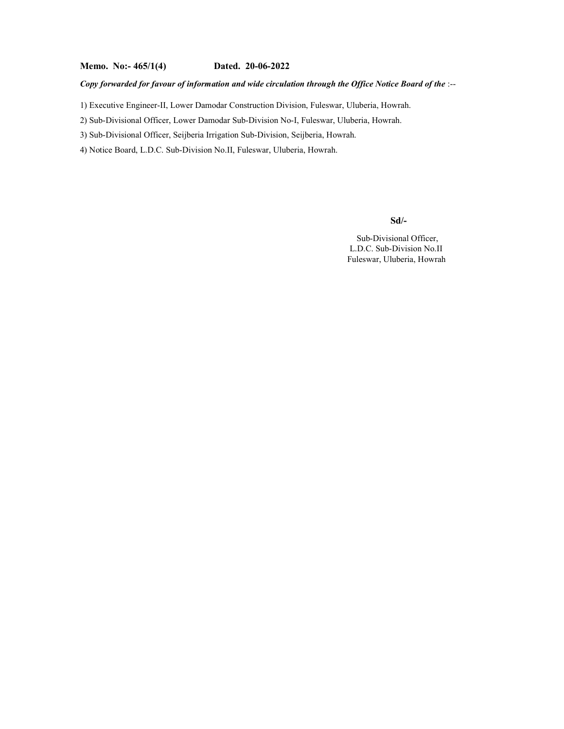### Copy forwarded for favour of information and wide circulation through the Office Notice Board of the :--

1) Executive Engineer-II, Lower Damodar Construction Division, Fuleswar, Uluberia, Howrah.

2) Sub-Divisional Officer, Lower Damodar Sub-Division No-I, Fuleswar, Uluberia, Howrah.

3) Sub-Divisional Officer, Seijberia Irrigation Sub-Division, Seijberia, Howrah.

4) Notice Board, L.D.C. Sub-Division No.II, Fuleswar, Uluberia, Howrah.

Sd/-

 Sub-Divisional Officer, L.D.C. Sub-Division No.II Fuleswar, Uluberia, Howrah